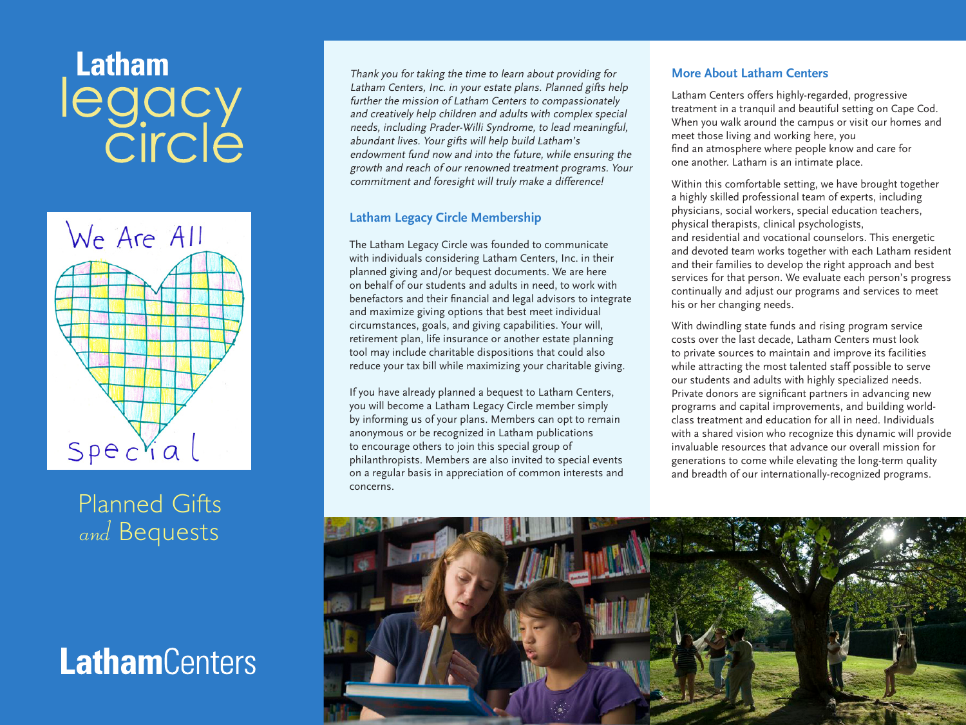# **Latham** legacy<br>Circle



Planned Gifts and Bequests

# **Latham**Centers

Thank you for taking the time to learn about providing for Latham Centers, Inc. in your estate plans. Planned gifts help further the mission of Latham Centers to compassionately and creatively help children and adults with complex special needs, including Prader-Willi Syndrome, to lead meaningful, abundant lives. Your gifts will help build Latham's endowment fund now and into the future, while ensuring the growth and reach of our renowned treatment programs. Your commitment and foresight will truly make a difference!

# **Latham Legacy Circle Membership**

The Latham Legacy Circle was founded to communicate with individuals considering Latham Centers, Inc. in their planned giving and/or bequest documents. We are here on behalf of our students and adults in need, to work with benefactors and their financial and legal advisors to integrate and maximize giving options that best meet individual circumstances, goals, and giving capabilities. Your will, retirement plan, life insurance or another estate planning tool may include charitable dispositions that could also reduce your tax bill while maximizing your charitable giving.

If you have already planned a bequest to Latham Centers, you will become a Latham Legacy Circle member simply by informing us of your plans. Members can opt to remain anonymous or be recognized in Latham publications to encourage others to join this special group of philanthropists. Members are also invited to special events on a regular basis in appreciation of common interests and concerns.

### **More About Latham Centers**

Latham Centers offers highly-regarded, progressive treatment in a tranquil and beautiful setting on Cape Cod. When you walk around the campus or visit our homes and meet those living and working here, you find an atmosphere where people know and care for one another. Latham is an intimate place.

Within this comfortable setting, we have brought together a highly skilled professional team of experts, including physicians, social workers, special education teachers, physical therapists, clinical psychologists, and residential and vocational counselors. This energetic and devoted team works together with each Latham resident and their families to develop the right approach and best services for that person. We evaluate each person's progress continually and adjust our programs and services to meet his or her changing needs.

With dwindling state funds and rising program service costs over the last decade, Latham Centers must look to private sources to maintain and improve its facilities while attracting the most talented staff possible to serve our students and adults with highly specialized needs. Private donors are significant partners in advancing new programs and capital improvements, and building worldclass treatment and education for all in need. Individuals with a shared vision who recognize this dynamic will provide invaluable resources that advance our overall mission for generations to come while elevating the long-term quality and breadth of our internationally-recognized programs.